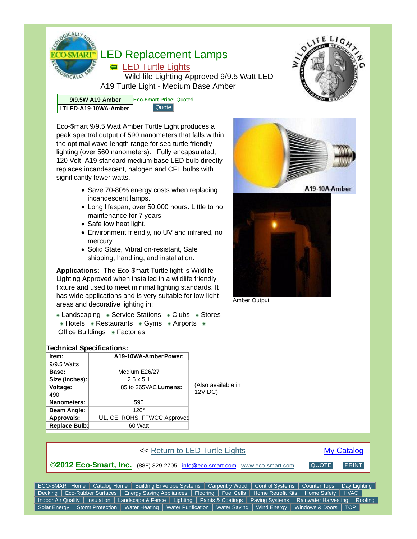

Eco-\$mart 9/9.5 Watt Amber Turtle Light produces a peak spectral output of 590 nanometers that falls within the optimal wave-length range for sea turtle friendly lighting (over 560 nanometers). Fully encapsulated, 120 Volt, A19 standard medium base LED bulb directly replaces incandescent, halogen and CFL bulbs with significantly fewer watts.

- Save 70-80% energy costs when replacing incandescent lamps.
- Long lifespan, over 50,000 hours. Little to no maintenance for 7 years.
- Safe low heat light.
- Environment friendly, no UV and infrared, no mercury.
- Solid State, Vibration-resistant, Safe shipping, handling, and installation.

**Applications:** The Eco-\$mart Turtle light is Wildlife Lighting Approved when installed in a wildlife friendly fixture and used to meet minimal lighting standards. It has wide applications and is very suitable for low light areas and decorative lighting in:

 $\overline{\bullet}$  Landscaping  $\overline{\bullet}$  Service Stations  $\overline{\bullet}$  Clubs  $\overline{\bullet}$  Stores  $\overline{\bullet}$  Hotels  $\overline{\bullet}$  Restaurants  $\overline{\bullet}$  Gyms  $\overline{\bullet}$  Airports  $\overline{\bullet}$ Office Buildings • Factories

## **Technical Specifications:**

| $\ast$ HOLERS $\ast$ Restaurants $\ast$ Gyms $\ast$ Aliports $\ast$ |                              |                    |
|---------------------------------------------------------------------|------------------------------|--------------------|
| Office Buildings • Factories                                        |                              |                    |
|                                                                     |                              |                    |
| <b>Technical Specifications:</b>                                    |                              |                    |
| Item:                                                               | A19-10WA-Amber Power:        |                    |
| 9/9.5 Watts                                                         |                              |                    |
| Base:                                                               | Medium E26/27                |                    |
| Size (inches):                                                      | $2.5 \times 5.1$             |                    |
| <b>Voltage:</b>                                                     | 85 to 265VAC Lumens:         | (Also available in |
| 490                                                                 |                              | 12V DC)            |
| <b>Nanometers:</b>                                                  | 590                          |                    |
| <b>Beam Angle:</b>                                                  | $120^\circ$                  |                    |
| Approvals:                                                          | UL, CE, ROHS, FFWCC Approved |                    |
| Replace Bulb:                                                       | 60 Watt                      |                    |
|                                                                     |                              |                    |





Amber Output



Solar Energy | Storm Protection | Water Heating | Water Purification | Water Saving | Wind Energy | Windows & Doors | TOP